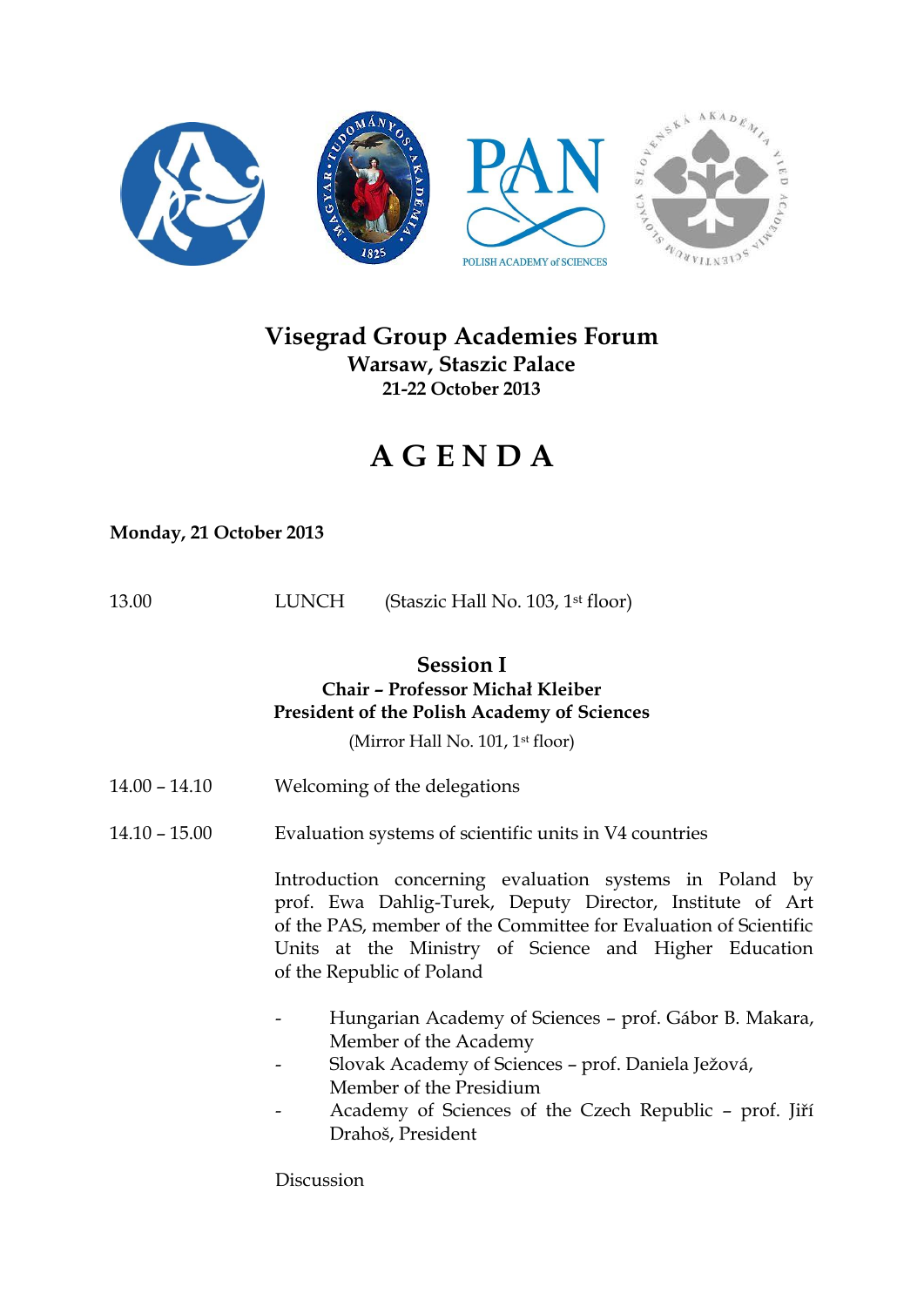

# **Visegrad Group Academies Forum Warsaw, Staszic Palace 21-22 October 2013**

# **A G E N D A**

## **Monday, 21 October 2013**

| 13.00 | <b>LUNCH</b> | (Staszic Hall No. 103, 1 <sup>st</sup> floor) |
|-------|--------------|-----------------------------------------------|
|-------|--------------|-----------------------------------------------|

# **Session I**

#### **Chair – Professor Michał Kleiber President of the Polish Academy of Sciences**

(Mirror Hall No. 101, 1<sup>st</sup> floor)

- 14.00 14.10 Welcoming of the delegations
- 14.10 15.00 Evaluation systems of scientific units in V4 countries

Introduction concerning evaluation systems in Poland by prof. Ewa Dahlig-Turek, Deputy Director, Institute of Art of the PAS, member of the Committee for Evaluation of Scientific Units at the Ministry of Science and Higher Education of the Republic of Poland

- Hungarian Academy of Sciences prof. Gábor B. Makara, Member of the Academy
- Slovak Academy of Sciences prof. Daniela Ježová, Member of the Presidium
- Academy of Sciences of the Czech Republic prof. Jiří Drahoš, President

Discussion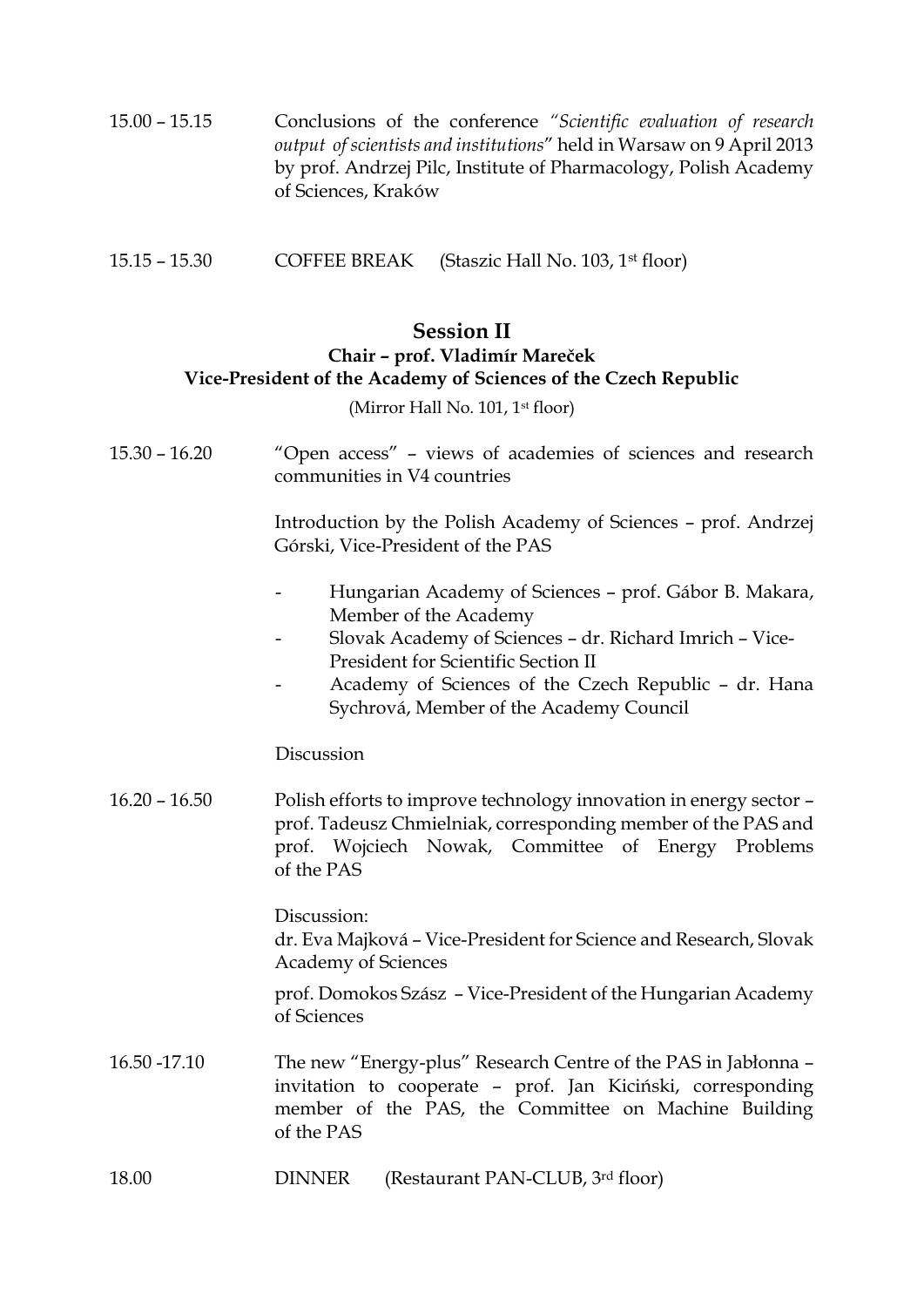- 15.00 15.15 Conclusions of the conference *"Scientific evaluation of research output of scientists and institutions*" held in Warsaw on 9 April 2013 by prof. Andrzej Pilc, Institute of Pharmacology, Polish Academy of Sciences, Kraków
- 15.15 15.30 COFFEE BREAK (Staszic Hall No. 103, 1st floor)

#### **Session II Chair – prof. Vladimír Mareček Vice-President of the Academy of Sciences of the Czech Republic**

(Mirror Hall No. 101, 1<sup>st</sup> floor)

15.30 – 16.20 "Open access" – views of academies of sciences and research communities in V4 countries

> Introduction by the Polish Academy of Sciences – prof. Andrzej Górski, Vice-President of the PAS

- Hungarian Academy of Sciences prof. Gábor B. Makara, Member of the Academy
- Slovak Academy of Sciences dr. Richard Imrich Vice-President for Scientific Section II
- Academy of Sciences of the Czech Republic dr. Hana Sychrová, Member of the Academy Council

#### Discussion

16.20 – 16.50 Polish efforts to improve technology innovation in energy sector – prof. Tadeusz Chmielniak, corresponding member of the PAS and prof. Wojciech Nowak, Committee of Energy Problems of the PAS

> Discussion: dr. Eva Majková – Vice-President for Science and Research, Slovak Academy of Sciences

> prof. Domokos Szász – Vice-President of the Hungarian Academy of Sciences

- 16.50 -17.10 The new "Energy-plus" Research Centre of the PAS in Jabłonna invitation to cooperate – prof. Jan Kiciński, corresponding member of the PAS, the Committee on Machine Building of the PAS
- 18.00 DINNER (Restaurant PAN-CLUB, 3rd floor)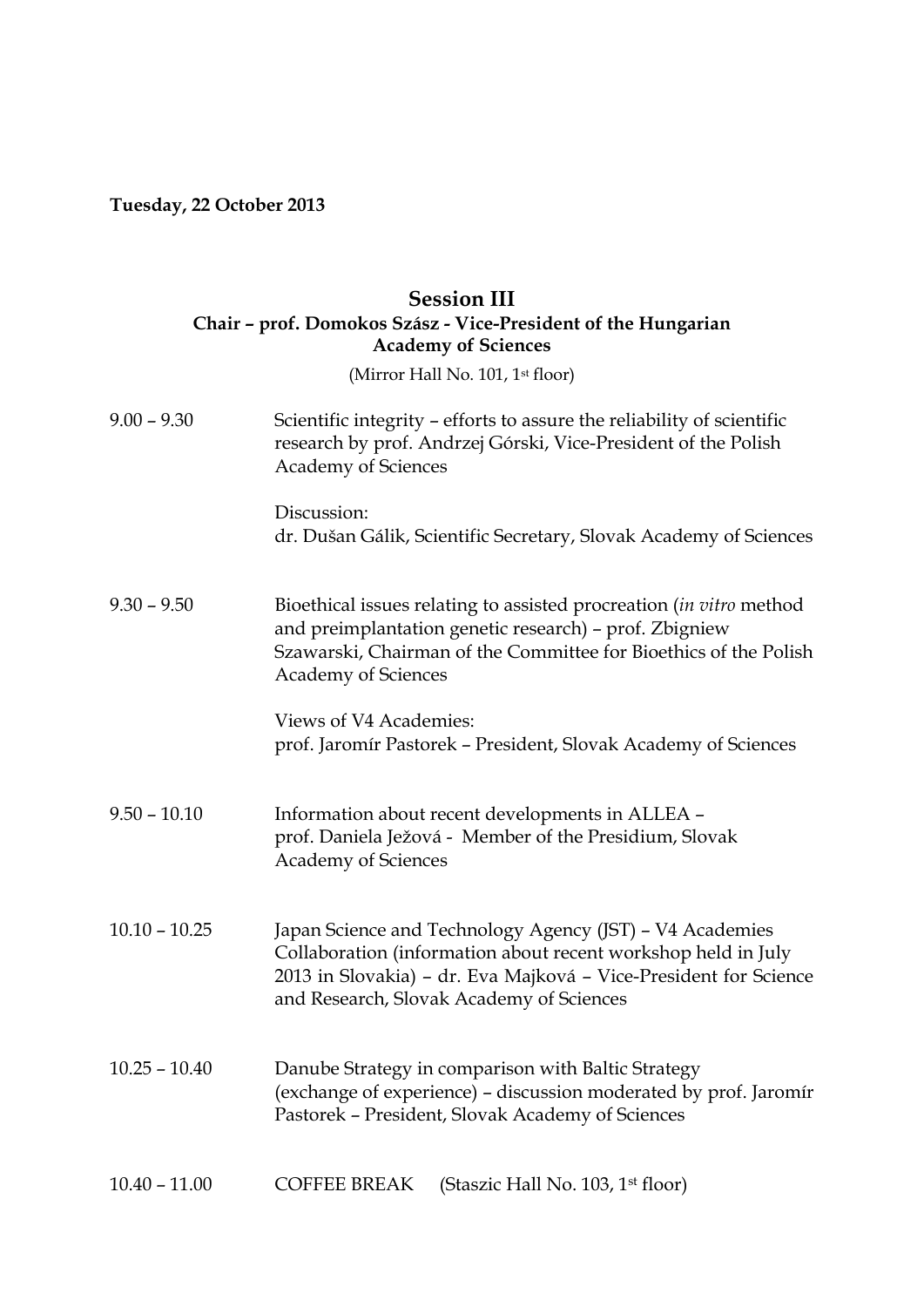# **Tuesday, 22 October 2013**

## **Session III Chair – prof. Domokos Szász - Vice-President of the Hungarian Academy of Sciences**

(Mirror Hall No. 101, 1<sup>st</sup> floor)

| $9.00 - 9.30$   | Scientific integrity – efforts to assure the reliability of scientific<br>research by prof. Andrzej Górski, Vice-President of the Polish<br><b>Academy of Sciences</b>                                                                    |  |  |  |
|-----------------|-------------------------------------------------------------------------------------------------------------------------------------------------------------------------------------------------------------------------------------------|--|--|--|
|                 | Discussion:<br>dr. Dušan Gálik, Scientific Secretary, Slovak Academy of Sciences                                                                                                                                                          |  |  |  |
| $9.30 - 9.50$   | Bioethical issues relating to assisted procreation (in vitro method<br>and preimplantation genetic research) - prof. Zbigniew<br>Szawarski, Chairman of the Committee for Bioethics of the Polish<br><b>Academy of Sciences</b>           |  |  |  |
|                 | Views of V4 Academies:<br>prof. Jaromír Pastorek - President, Slovak Academy of Sciences                                                                                                                                                  |  |  |  |
| $9.50 - 10.10$  | Information about recent developments in ALLEA -<br>prof. Daniela Ježová - Member of the Presidium, Slovak<br><b>Academy of Sciences</b>                                                                                                  |  |  |  |
| $10.10 - 10.25$ | Japan Science and Technology Agency (JST) - V4 Academies<br>Collaboration (information about recent workshop held in July<br>2013 in Slovakia) - dr. Eva Majková - Vice-President for Science<br>and Research, Slovak Academy of Sciences |  |  |  |
| $10.25 - 10.40$ | Danube Strategy in comparison with Baltic Strategy<br>(exchange of experience) - discussion moderated by prof. Jaromír<br>Pastorek - President, Slovak Academy of Sciences                                                                |  |  |  |
| $10.40 - 11.00$ | <b>COFFEE BREAK</b><br>(Staszic Hall No. 103, 1 <sup>st</sup> floor)                                                                                                                                                                      |  |  |  |